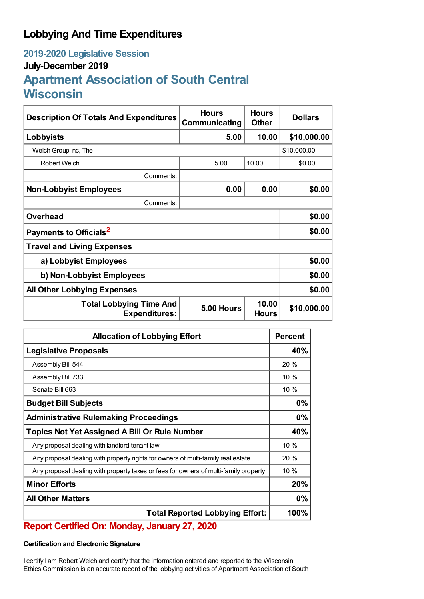## **Lobbying And Time Expenditures**

# **2019-2020 Legislative Session July-December 2019 Apartment Association of South Central Wisconsin**

| <b>Description Of Totals And Expenditures</b>                                                 | <b>Hours</b><br>Communicating | <b>Hours</b><br><b>Other</b> | <b>Dollars</b> |  |
|-----------------------------------------------------------------------------------------------|-------------------------------|------------------------------|----------------|--|
| Lobbyists                                                                                     | 5.00                          | 10.00                        | \$10,000.00    |  |
| Welch Group Inc, The                                                                          |                               |                              | \$10,000.00    |  |
| <b>Robert Welch</b>                                                                           | 5.00                          | 10.00                        | \$0.00         |  |
| Comments:                                                                                     |                               |                              |                |  |
| <b>Non-Lobbyist Employees</b>                                                                 | 0.00                          | 0.00                         | \$0.00         |  |
| Comments:                                                                                     |                               |                              |                |  |
| <b>Overhead</b>                                                                               |                               |                              | \$0.00         |  |
| Payments to Officials <sup>2</sup>                                                            |                               |                              | \$0.00         |  |
| <b>Travel and Living Expenses</b>                                                             |                               |                              |                |  |
| a) Lobbyist Employees                                                                         |                               |                              | \$0.00         |  |
| b) Non-Lobbyist Employees                                                                     |                               |                              | \$0.00         |  |
| <b>All Other Lobbying Expenses</b>                                                            |                               |                              | \$0.00         |  |
| 10.00<br><b>Total Lobbying Time And</b><br>5.00 Hours<br><b>Expenditures:</b><br><b>Hours</b> |                               | \$10,000.00                  |                |  |

| <b>Allocation of Lobbying Effort</b>                                                 |     |
|--------------------------------------------------------------------------------------|-----|
| <b>Legislative Proposals</b>                                                         |     |
| Assembly Bill 544                                                                    | 20% |
| Assembly Bill 733                                                                    | 10% |
| Senate Bill 663                                                                      | 10% |
| <b>Budget Bill Subjects</b>                                                          | 0%  |
| <b>Administrative Rulemaking Proceedings</b>                                         | 0%  |
| <b>Topics Not Yet Assigned A Bill Or Rule Number</b>                                 |     |
| Any proposal dealing with landlord tenant law                                        | 10% |
| Any proposal dealing with property rights for owners of multi-family real estate     | 20% |
| Any proposal dealing with property taxes or fees for owners of multi-family property | 10% |
| <b>Minor Efforts</b>                                                                 |     |
| <b>All Other Matters</b>                                                             |     |
| <b>Total Reported Lobbying Effort:</b>                                               |     |

## **Report Certified On: Monday, January 27, 2020**

### **Certification and Electronic Signature**

I certify I am Robert Welch and certify that the information entered and reported to the Wisconsin Ethics Commission is an accurate record of the lobbying activities of Apartment Association of South